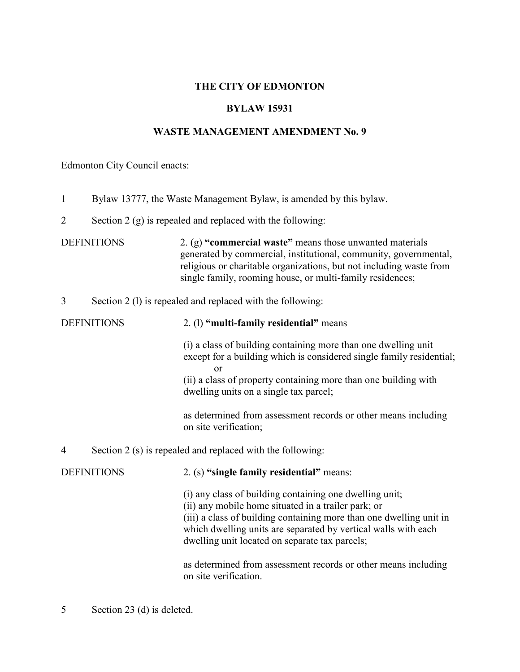## **THE CITY OF EDMONTON**

#### **BYLAW 15931**

# **WASTE MANAGEMENT AMENDMENT No. 9**

Edmonton City Council enacts:

| $\mathbf{1}$       | Bylaw 13777, the Waste Management Bylaw, is amended by this bylaw. |                                                                                                                                                                                                                                                                                                           |  |  |  |
|--------------------|--------------------------------------------------------------------|-----------------------------------------------------------------------------------------------------------------------------------------------------------------------------------------------------------------------------------------------------------------------------------------------------------|--|--|--|
| $\overline{2}$     | Section $2(g)$ is repealed and replaced with the following:        |                                                                                                                                                                                                                                                                                                           |  |  |  |
| <b>DEFINITIONS</b> |                                                                    | 2. (g) "commercial waste" means those unwanted materials<br>generated by commercial, institutional, community, governmental,<br>religious or charitable organizations, but not including waste from<br>single family, rooming house, or multi-family residences;                                          |  |  |  |
| 3                  | Section 2 (1) is repealed and replaced with the following:         |                                                                                                                                                                                                                                                                                                           |  |  |  |
| <b>DEFINITIONS</b> |                                                                    | 2. (1) "multi-family residential" means                                                                                                                                                                                                                                                                   |  |  |  |
|                    |                                                                    | (i) a class of building containing more than one dwelling unit<br>except for a building which is considered single family residential;<br><sub>or</sub><br>(ii) a class of property containing more than one building with<br>dwelling units on a single tax parcel;                                      |  |  |  |
|                    |                                                                    | as determined from assessment records or other means including<br>on site verification;                                                                                                                                                                                                                   |  |  |  |
| 4                  | Section 2 (s) is repealed and replaced with the following:         |                                                                                                                                                                                                                                                                                                           |  |  |  |
|                    | <b>DEFINITIONS</b>                                                 | 2. (s) "single family residential" means:                                                                                                                                                                                                                                                                 |  |  |  |
|                    |                                                                    | (i) any class of building containing one dwelling unit;<br>(ii) any mobile home situated in a trailer park; or<br>(iii) a class of building containing more than one dwelling unit in<br>which dwelling units are separated by vertical walls with each<br>dwelling unit located on separate tax parcels; |  |  |  |
|                    |                                                                    | as determined from assessment records or other means including<br>on site verification.                                                                                                                                                                                                                   |  |  |  |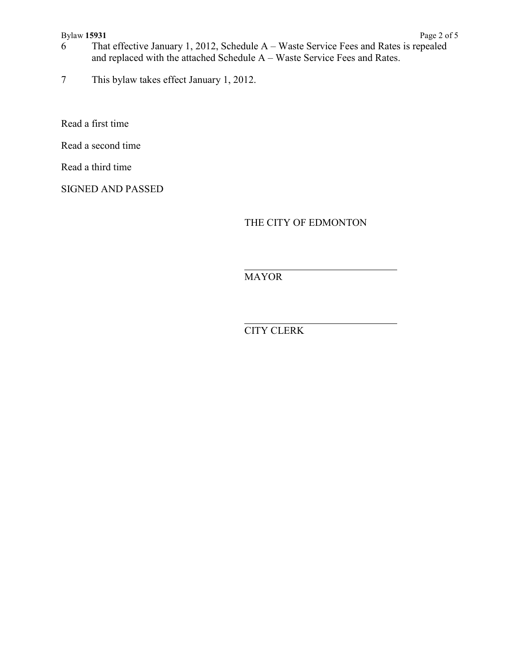#### Bylaw **15931** Page 2 of 5

- 6 That effective January 1, 2012, Schedule A Waste Service Fees and Rates is repealed and replaced with the attached Schedule A – Waste Service Fees and Rates.
- 7 This bylaw takes effect January 1, 2012.

Read a first time

Read a second time

Read a third time

SIGNED AND PASSED

THE CITY OF EDMONTON

 $\overline{a}$ MAYOR

 $\overline{a}$ CITY CLERK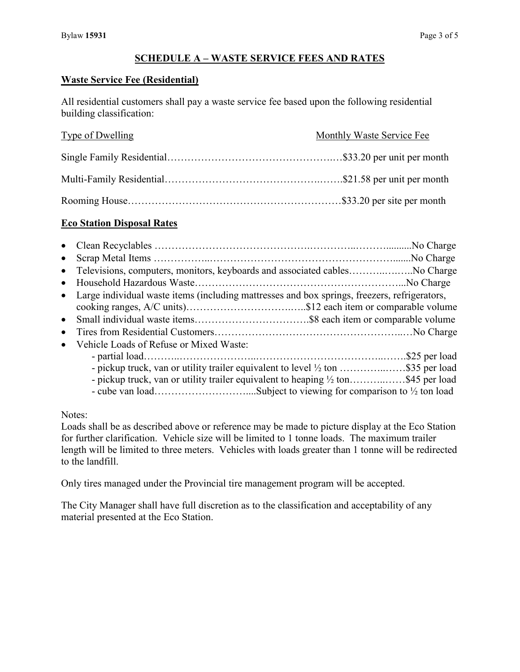### **SCHEDULE A – WASTE SERVICE FEES AND RATES**

#### **Waste Service Fee (Residential)**

All residential customers shall pay a waste service fee based upon the following residential building classification:

| Type of Dwelling | Monthly Waste Service Fee |
|------------------|---------------------------|
|                  |                           |
|                  |                           |
|                  |                           |

#### **Eco Station Disposal Rates**

| $\bullet$ |                                                                                                                                                                       |  |
|-----------|-----------------------------------------------------------------------------------------------------------------------------------------------------------------------|--|
|           | • Televisions, computers, monitors, keyboards and associated cables No Charge                                                                                         |  |
|           |                                                                                                                                                                       |  |
|           | • Large individual waste items (including mattresses and box springs, freezers, refrigerators,                                                                        |  |
| $\bullet$ |                                                                                                                                                                       |  |
| $\bullet$ |                                                                                                                                                                       |  |
| $\bullet$ | Vehicle Loads of Refuse or Mixed Waste:                                                                                                                               |  |
|           | - pickup truck, van or utility trailer equivalent to level 1/2 ton \$35 per load<br>- pickup truck, van or utility trailer equivalent to heaping 1/2 ton\$45 per load |  |

Notes:

Loads shall be as described above or reference may be made to picture display at the Eco Station for further clarification. Vehicle size will be limited to 1 tonne loads. The maximum trailer length will be limited to three meters. Vehicles with loads greater than 1 tonne will be redirected to the landfill.

Only tires managed under the Provincial tire management program will be accepted.

The City Manager shall have full discretion as to the classification and acceptability of any material presented at the Eco Station.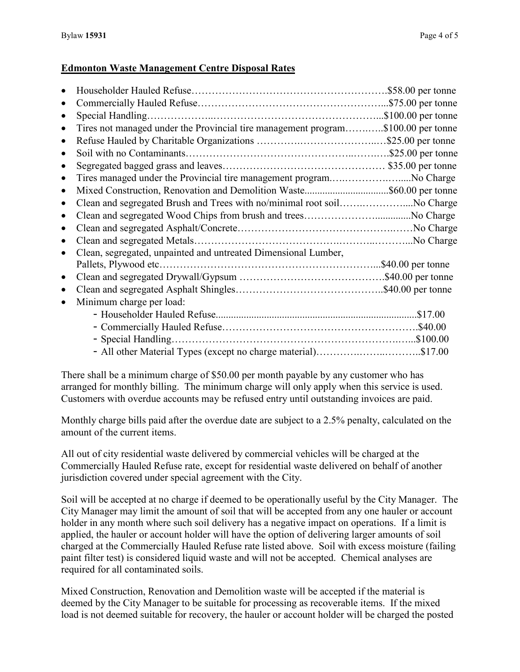## **Edmonton Waste Management Centre Disposal Rates**

|           | Special Handling.                                                                |                       |
|-----------|----------------------------------------------------------------------------------|-----------------------|
| $\bullet$ | Tires not managed under the Provincial tire management program\$100.00 per tonne |                       |
| $\bullet$ |                                                                                  |                       |
| $\bullet$ |                                                                                  |                       |
| $\bullet$ |                                                                                  |                       |
| $\bullet$ | Tires managed under the Provincial tire management programNo Charge              |                       |
| $\bullet$ | Mixed Construction, Renovation and Demolition Waste\$60.00 per tonne             |                       |
| $\bullet$ | Clean and segregated Brush and Trees with no/minimal root soilNo Charge          |                       |
| $\bullet$ |                                                                                  |                       |
|           |                                                                                  |                       |
|           |                                                                                  |                       |
| $\bullet$ | Clean, segregated, unpainted and untreated Dimensional Lumber,                   |                       |
|           |                                                                                  | $.$ \$40.00 per tonne |
| $\bullet$ |                                                                                  |                       |
| $\bullet$ |                                                                                  |                       |
| $\bullet$ | Minimum charge per load:                                                         |                       |
|           |                                                                                  | \$17.00               |
|           |                                                                                  |                       |
|           |                                                                                  |                       |
|           | - All other Material Types (except no charge material)\$17.00                    |                       |

There shall be a minimum charge of \$50.00 per month payable by any customer who has arranged for monthly billing. The minimum charge will only apply when this service is used. Customers with overdue accounts may be refused entry until outstanding invoices are paid.

Monthly charge bills paid after the overdue date are subject to a 2.5% penalty, calculated on the amount of the current items.

All out of city residential waste delivered by commercial vehicles will be charged at the Commercially Hauled Refuse rate, except for residential waste delivered on behalf of another jurisdiction covered under special agreement with the City.

Soil will be accepted at no charge if deemed to be operationally useful by the City Manager. The City Manager may limit the amount of soil that will be accepted from any one hauler or account holder in any month where such soil delivery has a negative impact on operations. If a limit is applied, the hauler or account holder will have the option of delivering larger amounts of soil charged at the Commercially Hauled Refuse rate listed above. Soil with excess moisture (failing paint filter test) is considered liquid waste and will not be accepted. Chemical analyses are required for all contaminated soils.

Mixed Construction, Renovation and Demolition waste will be accepted if the material is deemed by the City Manager to be suitable for processing as recoverable items. If the mixed load is not deemed suitable for recovery, the hauler or account holder will be charged the posted